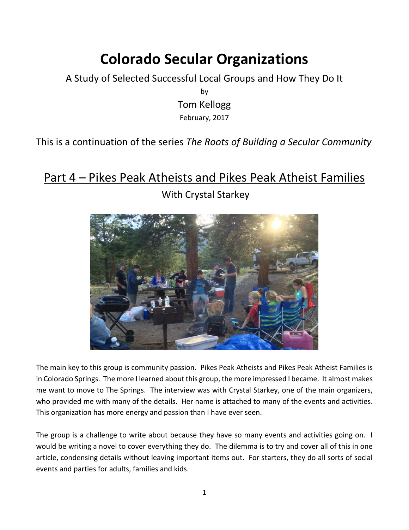# **Colorado Secular Organizations**

A Study of Selected Successful Local Groups and How They Do It

by Tom Kellogg February, 2017

This is a continuation of the series *The Roots of Building a Secular Community*

# Part 4 – Pikes Peak Atheists and Pikes Peak Atheist Families

With Crystal Starkey

The main key to this group is community passion. Pikes Peak Atheists and Pikes Peak Atheist Families is in Colorado Springs. The more I learned about this group, the more impressed I became. It almost makes me want to move to The Springs. The interview was with Crystal Starkey, one of the main organizers, who provided me with many of the details. Her name is attached to many of the events and activities. This organization has more energy and passion than I have ever seen.

The group is a challenge to write about because they have so many events and activities going on. I would be writing a novel to cover everything they do. The dilemma is to try and cover all of this in one article, condensing details without leaving important items out. For starters, they do all sorts of social events and parties for adults, families and kids.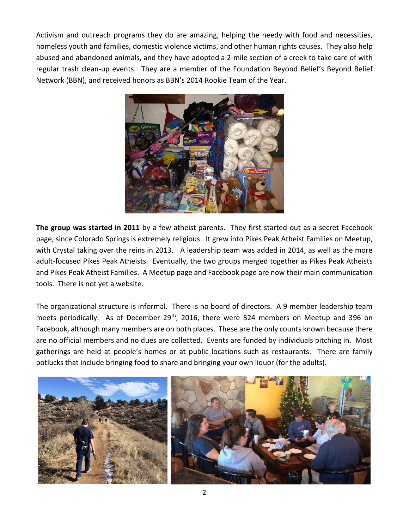Activism and outreach programs they do are amazing, helping the needy with food and necessities, homeless youth and families, domestic violence victims, and other human rights causes. They also help abused and abandoned animals, and they have adopted a 2-mile section of a creek to take care of with regular trash clean-up events. They are a member of the Foundation Beyond Belief's Beyond Belief Network (BBN), and received honors as BBN's 2014 Rookie Team of the Year.



**The group was started in 2011** by a few atheist parents. They first started out as a secret Facebook page, since Colorado Springs is extremely religious. It grew into Pikes Peak Atheist Families on Meetup, with Crystal taking over the reins in 2013. A leadership team was added in 2014, as well as the more adult-focused Pikes Peak Atheists. Eventually, the two groups merged together as Pikes Peak Atheists and Pikes Peak Atheist Families. A Meetup page and Facebook page are now their main communication tools. There is not yet a website.

The organizational structure is informal. There is no board of directors. A 9 member leadership team meets periodically. As of December 29<sup>th</sup>, 2016, there were 524 members on Meetup and 396 on Facebook, although many members are on both places. These are the only counts known because there are no official members and no dues are collected. Events are funded by individuals pitching in. Most gatherings are held at people's homes or at public locations such as restaurants. There are family potlucks that include bringing food to share and bringing your own liquor (for the adults).

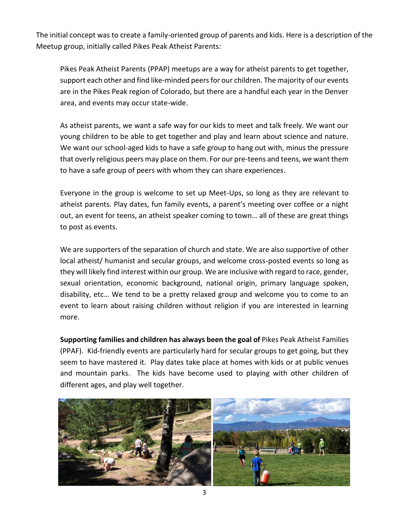The initial concept was to create a family-oriented group of parents and kids. Here is a description of the Meetup group, initially called Pikes Peak Atheist Parents:

Pikes Peak Atheist Parents (PPAP) meetups are a way for atheist parents to get together, support each other and find like-minded peers for our children. The majority of our events are in the Pikes Peak region of Colorado, but there are a handful each year in the Denver area, and events may occur state-wide.

As atheist parents, we want a safe way for our kids to meet and talk freely. We want our young children to be able to get together and play and learn about science and nature. We want our school-aged kids to have a safe group to hang out with, minus the pressure that overly religious peers may place on them. For our pre-teens and teens, we want them to have a safe group of peers with whom they can share experiences.

Everyone in the group is welcome to set up Meet-Ups, so long as they are relevant to atheist parents. Play dates, fun family events, a parent's meeting over coffee or a night out, an event for teens, an atheist speaker coming to town… all of these are great things to post as events.

We are supporters of the separation of church and state. We are also supportive of other local atheist/ humanist and secular groups, and welcome cross-posted events so long as they will likely find interest within our group. We are inclusive with regard to race, gender, sexual orientation, economic background, national origin, primary language spoken, disability, etc… We tend to be a pretty relaxed group and welcome you to come to an event to learn about raising children without religion if you are interested in learning more.

**Supporting families and children has always been the goal of** Pikes Peak Atheist Families (PPAF). Kid-friendly events are particularly hard for secular groups to get going, but they seem to have mastered it. Play dates take place at homes with kids or at public venues and mountain parks. The kids have become used to playing with other children of different ages, and play well together.

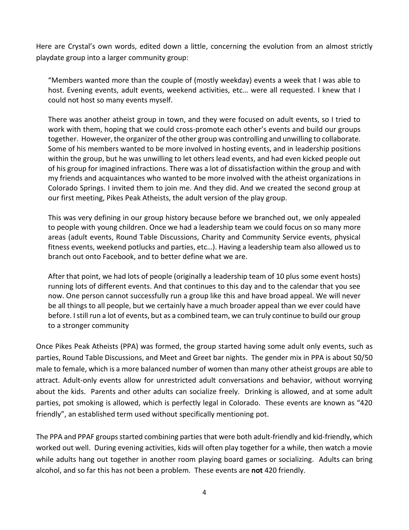Here are Crystal's own words, edited down a little, concerning the evolution from an almost strictly playdate group into a larger community group:

"Members wanted more than the couple of (mostly weekday) events a week that I was able to host. Evening events, adult events, weekend activities, etc… were all requested. I knew that I could not host so many events myself.

There was another atheist group in town, and they were focused on adult events, so I tried to work with them, hoping that we could cross-promote each other's events and build our groups together. However, the organizer of the other group was controlling and unwilling to collaborate. Some of his members wanted to be more involved in hosting events, and in leadership positions within the group, but he was unwilling to let others lead events, and had even kicked people out of his group for imagined infractions. There was a lot of dissatisfaction within the group and with my friends and acquaintances who wanted to be more involved with the atheist organizations in Colorado Springs. I invited them to join me. And they did. And we created the second group at our first meeting, Pikes Peak Atheists, the adult version of the play group.

This was very defining in our group history because before we branched out, we only appealed to people with young children. Once we had a leadership team we could focus on so many more areas (adult events, Round Table Discussions, Charity and Community Service events, physical fitness events, weekend potlucks and parties, etc…). Having a leadership team also allowed us to branch out onto Facebook, and to better define what we are.

After that point, we had lots of people (originally a leadership team of 10 plus some event hosts) running lots of different events. And that continues to this day and to the calendar that you see now. One person cannot successfully run a group like this and have broad appeal. We will never be all things to all people, but we certainly have a much broader appeal than we ever could have before. I still run a lot of events, but as a combined team, we can truly continue to build our group to a stronger community

Once Pikes Peak Atheists (PPA) was formed, the group started having some adult only events, such as parties, Round Table Discussions, and Meet and Greet bar nights. The gender mix in PPA is about 50/50 male to female, which is a more balanced number of women than many other atheist groups are able to attract. Adult-only events allow for unrestricted adult conversations and behavior, without worrying about the kids. Parents and other adults can socialize freely. Drinking is allowed, and at some adult parties, pot smoking is allowed, which is perfectly legal in Colorado. These events are known as "420 friendly", an established term used without specifically mentioning pot.

The PPA and PPAF groups started combining partiesthat were both adult-friendly and kid-friendly, which worked out well. During evening activities, kids will often play together for a while, then watch a movie while adults hang out together in another room playing board games or socializing. Adults can bring alcohol, and so far this has not been a problem. These events are **not** 420 friendly.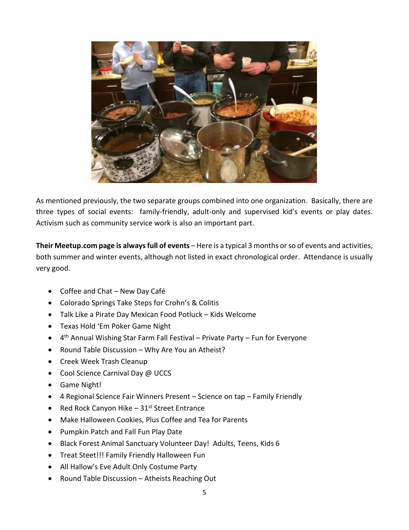

As mentioned previously, the two separate groups combined into one organization. Basically, there are three types of social events: family-friendly, adult-only and supervised kid's events or play dates. Activism such as community service work is also an important part.

**Their Meetup.com page is always full of events** – Here is a typical 3 months or so of events and activities, both summer and winter events, although not listed in exact chronological order. Attendance is usually very good.

- Coffee and Chat New Day Café
- Colorado Springs Take Steps for Crohn's & Colitis
- Talk Like a Pirate Day Mexican Food Potluck Kids Welcome
- Texas Hold 'Em Poker Game Night
- 4<sup>th</sup> Annual Wishing Star Farm Fall Festival Private Party Fun for Everyone
- Round Table Discussion Why Are You an Atheist?
- Creek Week Trash Cleanup
- Cool Science Carnival Day @ UCCS
- Game Night!
- 4 Regional Science Fair Winners Present Science on tap Family Friendly
- Red Rock Canyon Hike  $-31$ <sup>st</sup> Street Entrance
- Make Halloween Cookies, Plus Coffee and Tea for Parents
- Pumpkin Patch and Fall Fun Play Date
- Black Forest Animal Sanctuary Volunteer Day! Adults, Teens, Kids 6
- Treat Steet!!! Family Friendly Halloween Fun
- All Hallow's Eve Adult Only Costume Party
- Round Table Discussion Atheists Reaching Out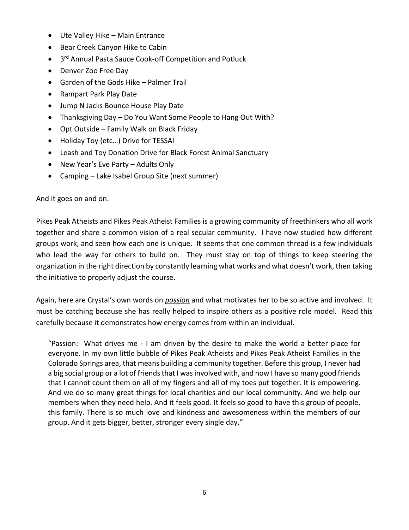- Ute Valley Hike Main Entrance
- Bear Creek Canyon Hike to Cabin
- 3<sup>rd</sup> Annual Pasta Sauce Cook-off Competition and Potluck
- Denver Zoo Free Day
- Garden of the Gods Hike Palmer Trail
- Rampart Park Play Date
- Jump N Jacks Bounce House Play Date
- Thanksgiving Day Do You Want Some People to Hang Out With?
- Opt Outside Family Walk on Black Friday
- Holiday Toy (etc...) Drive for TESSA!
- Leash and Toy Donation Drive for Black Forest Animal Sanctuary
- New Year's Eve Party Adults Only
- Camping Lake Isabel Group Site (next summer)

And it goes on and on.

Pikes Peak Atheists and Pikes Peak Atheist Families is a growing community of freethinkers who all work together and share a common vision of a real secular community. I have now studied how different groups work, and seen how each one is unique. It seems that one common thread is a few individuals who lead the way for others to build on. They must stay on top of things to keep steering the organization in the right direction by constantly learning what works and what doesn't work, then taking the initiative to properly adjust the course.

Again, here are Crystal's own words on *passion* and what motivates her to be so active and involved. It must be catching because she has really helped to inspire others as a positive role model. Read this carefully because it demonstrates how energy comes from within an individual.

"Passion: What drives me - I am driven by the desire to make the world a better place for everyone. In my own little bubble of Pikes Peak Atheists and Pikes Peak Atheist Families in the Colorado Springs area, that means building a community together. Before this group, I never had a big social group or a lot of friends that I was involved with, and now I have so many good friends that I cannot count them on all of my fingers and all of my toes put together. It is empowering. And we do so many great things for local charities and our local community. And we help our members when they need help. And it feels good. It feels so good to have this group of people, this family. There is so much love and kindness and awesomeness within the members of our group. And it gets bigger, better, stronger every single day."